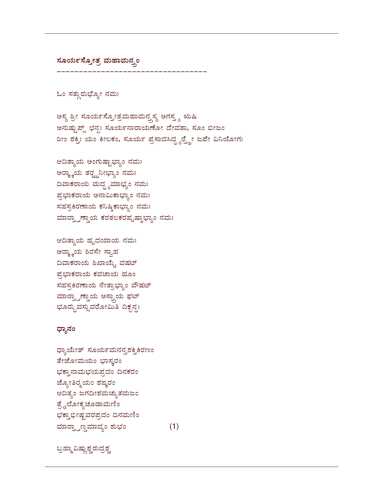## ಬ್ರಹ್ಮಾವಿಷ್ಣುಶ್ಚರುದ್ರಶ್ಚ

ಧ್ಯಾಯೇತ್ ಸೂರ್ಯಮನನ್ನಶಕ್ತಿಕಿರಣಂ ತೇಜೋಮಯಂ ಭಾಸ್ಕರಂ ಭಕ್ತಾನಾಮಭಯಪ್ರದಂ ದಿನಕರಂ ಜ್ಯೋತಿರ್ರ್ಮಂ ಶಙ್ಕರಂ ಆದಿತ್ಯಂ ಜಗದೀಶಮಚ್ಯುತಮಜಂ ತ್ರೈಲೋಕ್ಯಚೂಡಾಮಣಿಂ ಭಕ್ತಾಭೀಷ್ಟವರಪ್ರದಂ ದಿನಮಣಿಂ ಮಾರ್ರ್ತಾಣ್ಧಮಾದ್ಯಂ ಶುಭಂ  $(1)$ 

## ಧ್ಯಾನಂ

ಆದಿತ್ಯಾಯ ಹೃದಯಾಯ ನಮಃ ಅರ್ರ್ಕ್ಕಾಯ ಶಿರಸೇ ಸ್ವಾಹ ದಿವಾಕರಾಯ ಶಿಖಾಯ್ಕೆ ವಷಟ್ ಪ್ರಭಾಕರಾಯ ಕವಚಾಯ ಹೂಂ ಸಹಸ್ರಕಿರಣಾಯ ನೇತ್ರಾಭ್ಯಾಂ ವೌಷಟ್ ಮಾರ್ರ್ತಾಣ್ಡಾಯ ಅಸ್ತ್ರಾಯ ಫಟ್ ಭೂರ್ರ್ಭುವಸ್ಸುವರೋಮಿತಿ ದಿಕ್ಬನ್ಧಃ

ಆದಿತ್ಯಾಯ ಅಂಗುಷ್ಟಾಭ್ಯಾಂ ನಮಃ ಅರ್ರ್ಕ್ಕಾಯ ತರ್ರ್ಜ್ಜನೀಭ್ಯಾಂ ನಮಃ ದಿವಾಕರಾಯ ಮದ್ದ್ಯಮಾಭ್ಯಂ ನಮಃ ಪ್ರಭಾಕರಾಯ ಅನಾಮಿಕಾಭ್ಯಾಂ ನಮಃ ಸಹಸ್ರಕಿರಣಾಯ ಕನಿಷ್ಠಿಕಾಭ್ಯಾಂ ನಮಃ ಮಾರ್ರ್ತಾಣ್ಡಾಯ ಕರತಲಕರಪೃಷ್ಠಾಭ್ಯಾಂ ನಮಃ

ಅಸ್ಯ ಶ್ರೀ ಸೂರ್ಯಸ್ತೋತ್ರಮಹಾಮನ್ತಸ್ಯ ಅಗಸ್ತ್ಯ ಋಷಿ ಅನುಷ್ಟುಪ್ಪ್ ಛನ್ಧಃ ಸೂರ್ಯನಾರಾಯಣೋ ದೇವತಾ, ಸೂಂ ಬೀಜಂ ರೀಂ ಶಕ್ತಿಃ ಯಂ ಕೀಲಕಂ, ಸೂರ್ಯ ಪ್ರಸಾದಸಿದ್ಧ್ಯರ್ರ್ಡ್ನೇ ಜಪೇ ವಿನಿಯೋಗಃ

ಓಂ ಸತ್ಗುರುಭ್ಯೋ ನಮಃ

ಸೂರ್ಯಸ್ತೋತ್ರ ಮಹಾಮನ್ತ್ರಂ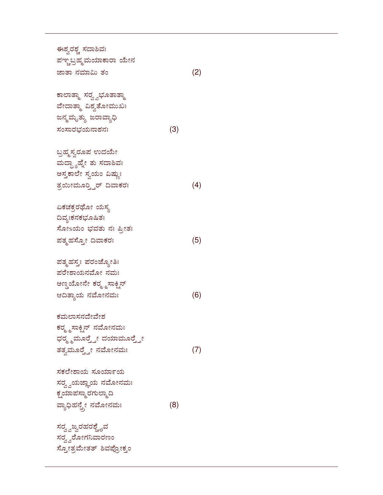ಈಶ್ವರಶ್ಚ ಸದಾಶಿವಃ ಪಞ್ಚಬ್ರಹ್ಮಮಯಾಕಾರಾ ಯೇನ ಜಾತಾ ನಮಾಮಿ ತಂ $(2)$ ಕಾಲಾತ್ಮಾ ಸರ್ರ್ವಭೂತಾತ್ಮಾ ವೇದಾತ್ಮಾ ವಿಶ್ವತೋಮುಖಃ ಜನ್ಮಮೃತ್ಯು ಜರಾವ್ಯಾಧಿ . (3) ಬ್ರಹ್ಮಸ್ವರೂಪ ಉದಯೇ ಮದ್ಧ್ಯಾಹ್ನೇ ತು ಸದಾಶಿವಃ ಅಸ್ತಕಾಲೇ ಸ್ವಯಂ ವಿಷ್ಣುಃ ತ್ರಯೀಮೂರ್ರ್ತಿರ್ ದಿವಾಕರ (4) ಏಕಚಕ್ರರಥೋ ಯಸ್ಯ ದಿವ್ಯಃಕನಕಭೂಷಿತಃ ಸೋsಯಂ ಭವತು ನಃ ಪ್ರೀತಃ ಪತ್ಮಹಸ್ತೋ ದಿವಾಕರಃ  $5<sup>3</sup>$  (5) ಪತ್ಮಹಸ್ತಃ ಪರಂಜ್ಯೋತಿಃ ಪರೇಶಾಯನಮೋ ನಮಃ ಅಣ್ಡಯೋನೇ ಕರ್ರ<sub>್ಮ</sub>ಸಾಕ್ಷಿನ್ 78 (6) ಕಮಲಾಸನದೇವೇಶ ಕರ್ರ್ಮ್ರಸ್ಟಾನ್ ನಮೋನಮಃ ಧರ್ರೃಮೂರ್ರ್ತ್ರೇ ದಯಾಮೂರ್ರ್ತ್ರೇ ತತ್ವಮೂರ್ರ್ತ್ರೇ ನಮೋನಮಃ (7) ಸಕಲೇಶಾಯ ಸೂರ್ಯಾಯ ಸರ್ರ್ವ್ವಯಜ್ಞಾಯ ನಮೋನಮಃ ಕ್ಷಯಾಪಸ್ಮಾರಗುಲ್ಮಾದಿ ವ್ಯಾಧಿಹನ್ತ್ರೇ ನಮೋನಮಃ (8) ಸರ್ರ್ವಜ್ವರಹರಶ್ಚೈವ ಸರ್ರ್ವರೋಗನಿವಾರಣಂ

ಸ್ತೋತ್ರಮೇತತ್ ಶಿವಪ್ರೋಕ್ತಂ